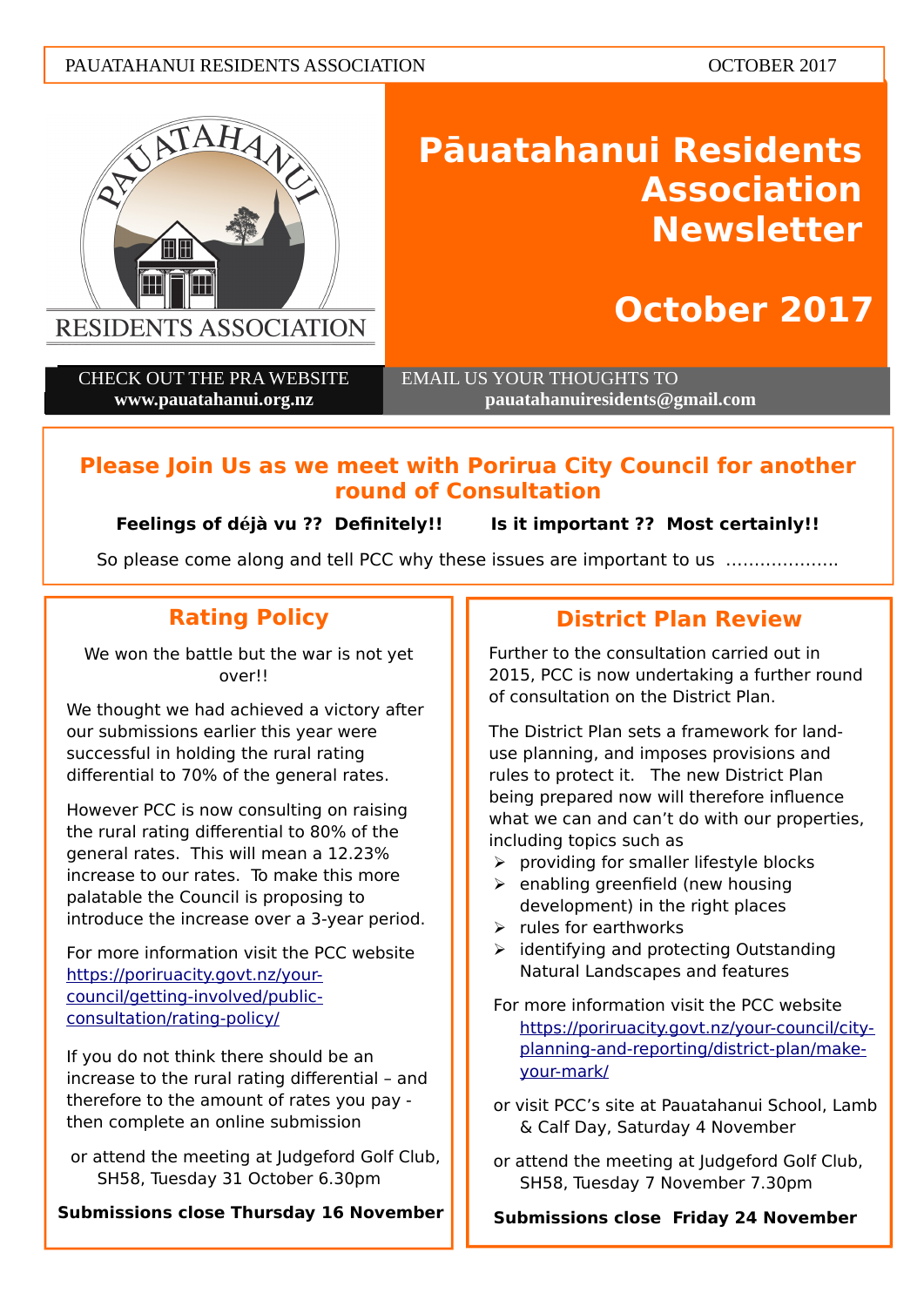#### PAUATAHANUI RESIDENTS ASSOCIATION CONTROL CONTRACT OCTOBER 2017



# **Pāuatahanui Residents Association Newsletter**

## **October 2017**

CHECK OUT THE PRA WEBSITE **www.pauatahanui.org.nz**

 EMAIL US YOUR THOUGHTS TO **pauatahanuiresidents@gmail.com**

## **Please Join Us as we meet with Porirua City Council for another round of Consultation**

**Feelings of déjà vu ?? Defnitely!! Is it important ?? Most certainly!!**

So please come along and tell PCC why these issues are important to us ………………..

## **Rating Policy**

We won the battle but the war is not yet over!!

We thought we had achieved a victory after our submissions earlier this year were successful in holding the rural rating differential to 70% of the general rates.

However PCC is now consulting on raising the rural rating differential to 80% of the general rates. This will mean a 12.23 increase to our rates. To make this more palatable the Council is proposing to introduce the increase over a 3-year period.

For more information visit the PCC website [https://poriruacity.govt.nz/your](https://poriruacity.govt.nz/your-council/getting-involved/public-consultation/rating-policy/)[council/getting-involved/public](https://poriruacity.govt.nz/your-council/getting-involved/public-consultation/rating-policy/)[consultation/rating-policy/](https://poriruacity.govt.nz/your-council/getting-involved/public-consultation/rating-policy/)

If you do not think there should be an increase to the rural rating differential – and therefore to the amount of rates you pay then complete an online submission

or attend the meeting at Judgeford Golf Club, SH58, Tuesday 31 October 6.30pm

**Submissions close Thursday 16 November**

## **District Plan Review**

Further to the consultation carried out in 2015, PCC is now undertaking a further round of consultation on the District Plan.

The District Plan sets a framework for landuse planning, and imposes provisions and rules to protect it. The new District Plan being prepared now will therefore infuence what we can and can't do with our properties, including topics such as

- $\triangleright$  providing for smaller lifestyle blocks
- $\triangleright$  enabling greenfield (new housing development) in the right places
- $\triangleright$  rules for earthworks
- $\triangleright$  identifying and protecting Outstanding Natural Landscapes and features
- For more information visit the PCC website [https://poriruacity.govt.nz/your-council/city](https://poriruacity.govt.nz/your-council/city-planning-and-reporting/district-plan/make-your-mark/)[planning-and-reporting/district-plan/make](https://poriruacity.govt.nz/your-council/city-planning-and-reporting/district-plan/make-your-mark/)[your-mark/](https://poriruacity.govt.nz/your-council/city-planning-and-reporting/district-plan/make-your-mark/)

or visit PCC's site at Pauatahanui School, Lamb & Calf Day, Saturday 4 November

or attend the meeting at Judgeford Golf Club, SH58, Tuesday 7 November 7.30pm

**Submissions close Friday 24 November**